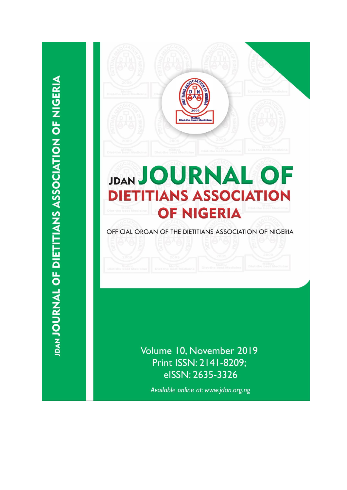

## **JDAN JOURNAL OF DIETITIANS ASSOCIATION OF NIGERIA**

OFFICIAL ORGAN OF THE DIETITIANS ASSOCIATION OF NIGERIA

Volume 10, November 2019 Print ISSN: 2141-8209; eISSN: 2635-3326

Available online at: www.jdan.org.ng